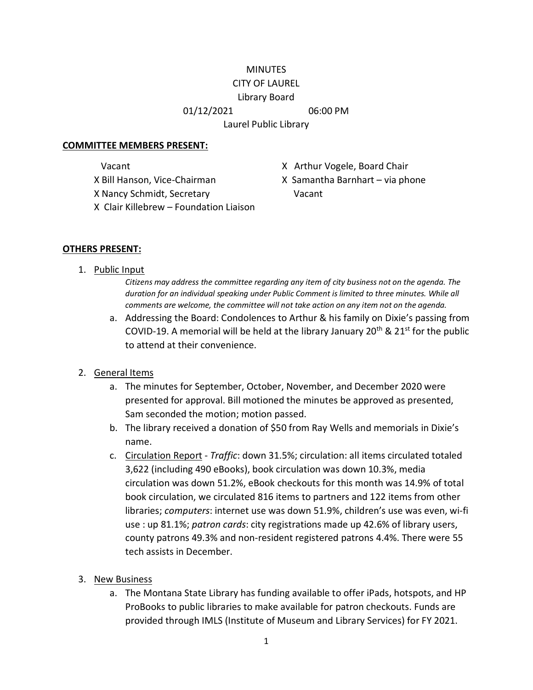#### **MINUTES** CITY OF LAUREL

# Library Board

01/12/2021 06:00 PM

Laurel Public Library

#### **COMMITTEE MEMBERS PRESENT:**

X Nancy Schmidt, Secretary Vacant

- Vacant Vacant X Arthur Vogele, Board Chair
- X Bill Hanson, Vice-Chairman X Samantha Barnhart via phone
- X Clair Killebrew Foundation Liaison

## **OTHERS PRESENT:**

1. Public Input

*Citizens may address the committee regarding any item of city business not on the agenda. The*  duration for an individual speaking under Public Comment is limited to three minutes. While all *comments are welcome, the committee will not take action on any item not on the agenda.*

a. Addressing the Board: Condolences to Arthur & his family on Dixie's passing from COVID-19. A memorial will be held at the library January 20<sup>th</sup> & 21<sup>st</sup> for the public to attend at their convenience.

## 2. General Items

- a. The minutes for September, October, November, and December 2020 were presented for approval. Bill motioned the minutes be approved as presented, Sam seconded the motion; motion passed.
- b. The library received a donation of \$50 from Ray Wells and memorials in Dixie's name.
- c. Circulation Report *Traffic*: down 31.5%; circulation: all items circulated totaled 3,622 (including 490 eBooks), book circulation was down 10.3%, media circulation was down 51.2%, eBook checkouts for this month was 14.9% of total book circulation, we circulated 816 items to partners and 122 items from other libraries; *computers*: internet use was down 51.9%, children's use was even, wi-fi use : up 81.1%; *patron cards*: city registrations made up 42.6% of library users, county patrons 49.3% and non-resident registered patrons 4.4%. There were 55 tech assists in December.
- 3. New Business
	- a. The Montana State Library has funding available to offer iPads, hotspots, and HP ProBooks to public libraries to make available for patron checkouts. Funds are provided through IMLS (Institute of Museum and Library Services) for FY 2021.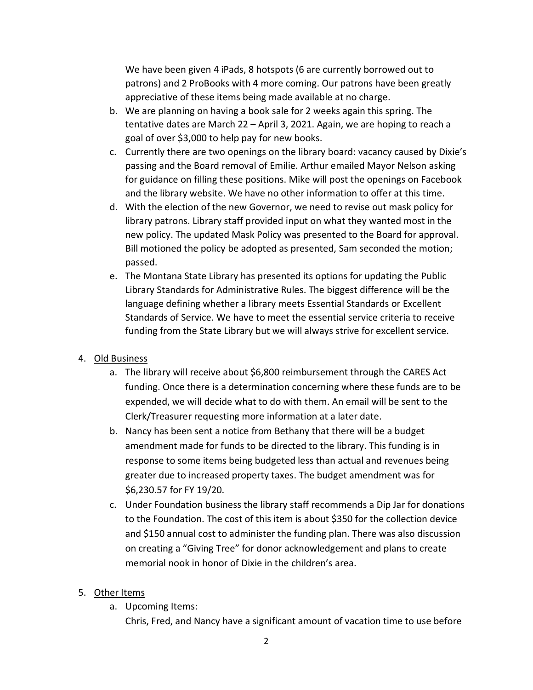We have been given 4 iPads, 8 hotspots (6 are currently borrowed out to patrons) and 2 ProBooks with 4 more coming. Our patrons have been greatly appreciative of these items being made available at no charge.

- b. We are planning on having a book sale for 2 weeks again this spring. The tentative dates are March 22 – April 3, 2021. Again, we are hoping to reach a goal of over \$3,000 to help pay for new books.
- c. Currently there are two openings on the library board: vacancy caused by Dixie's passing and the Board removal of Emilie. Arthur emailed Mayor Nelson asking for guidance on filling these positions. Mike will post the openings on Facebook and the library website. We have no other information to offer at this time.
- d. With the election of the new Governor, we need to revise out mask policy for library patrons. Library staff provided input on what they wanted most in the new policy. The updated Mask Policy was presented to the Board for approval. Bill motioned the policy be adopted as presented, Sam seconded the motion; passed.
- e. The Montana State Library has presented its options for updating the Public Library Standards for Administrative Rules. The biggest difference will be the language defining whether a library meets Essential Standards or Excellent Standards of Service. We have to meet the essential service criteria to receive funding from the State Library but we will always strive for excellent service.

## 4. Old Business

- a. The library will receive about \$6,800 reimbursement through the CARES Act funding. Once there is a determination concerning where these funds are to be expended, we will decide what to do with them. An email will be sent to the Clerk/Treasurer requesting more information at a later date.
- b. Nancy has been sent a notice from Bethany that there will be a budget amendment made for funds to be directed to the library. This funding is in response to some items being budgeted less than actual and revenues being greater due to increased property taxes. The budget amendment was for \$6,230.57 for FY 19/20.
- c. Under Foundation business the library staff recommends a Dip Jar for donations to the Foundation. The cost of this item is about \$350 for the collection device and \$150 annual cost to administer the funding plan. There was also discussion on creating a "Giving Tree" for donor acknowledgement and plans to create memorial nook in honor of Dixie in the children's area.

## 5. Other Items

a. Upcoming Items:

Chris, Fred, and Nancy have a significant amount of vacation time to use before